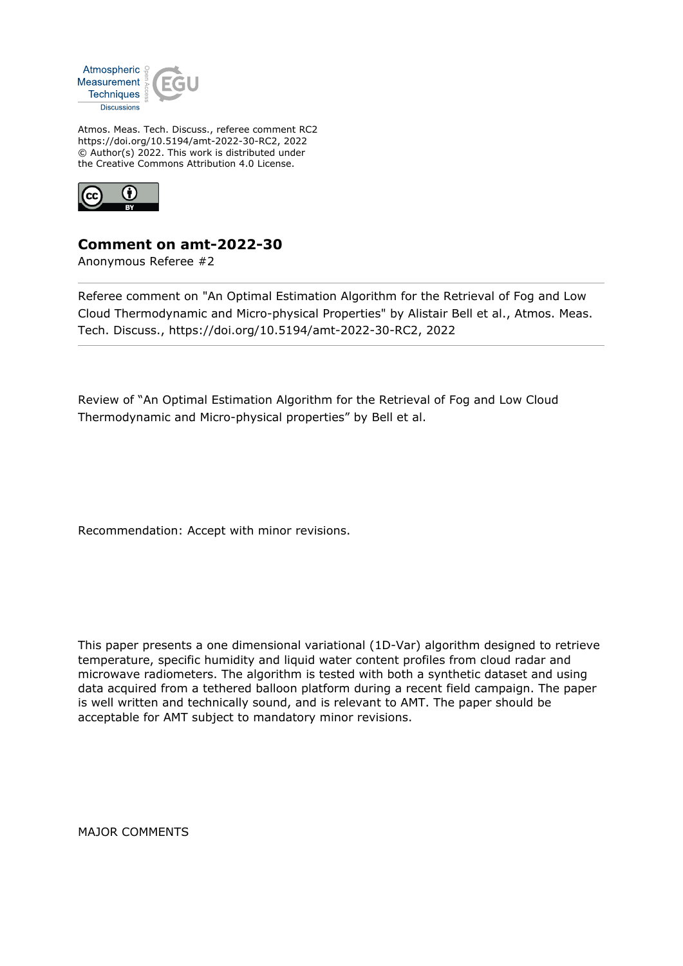

Atmos. Meas. Tech. Discuss., referee comment RC2 https://doi.org/10.5194/amt-2022-30-RC2, 2022 © Author(s) 2022. This work is distributed under the Creative Commons Attribution 4.0 License.



## **Comment on amt-2022-30**

Anonymous Referee #2

Referee comment on "An Optimal Estimation Algorithm for the Retrieval of Fog and Low Cloud Thermodynamic and Micro-physical Properties" by Alistair Bell et al., Atmos. Meas. Tech. Discuss., https://doi.org/10.5194/amt-2022-30-RC2, 2022

Review of "An Optimal Estimation Algorithm for the Retrieval of Fog and Low Cloud Thermodynamic and Micro-physical properties" by Bell et al.

Recommendation: Accept with minor revisions.

This paper presents a one dimensional variational (1D-Var) algorithm designed to retrieve temperature, specific humidity and liquid water content profiles from cloud radar and microwave radiometers. The algorithm is tested with both a synthetic dataset and using data acquired from a tethered balloon platform during a recent field campaign. The paper is well written and technically sound, and is relevant to AMT. The paper should be acceptable for AMT subject to mandatory minor revisions.

MAJOR COMMENTS